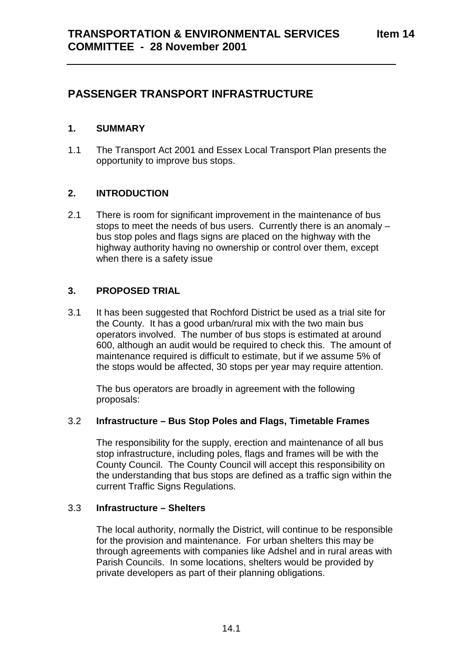## **PASSENGER TRANSPORT INFRASTRUCTURE**

#### **1. SUMMARY**

1.1 The Transport Act 2001 and Essex Local Transport Plan presents the opportunity to improve bus stops.

#### **2. INTRODUCTION**

2.1 There is room for significant improvement in the maintenance of bus stops to meet the needs of bus users. Currently there is an anomaly – bus stop poles and flags signs are placed on the highway with the highway authority having no ownership or control over them, except when there is a safety issue

#### **3. PROPOSED TRIAL**

3.1 It has been suggested that Rochford District be used as a trial site for the County. It has a good urban/rural mix with the two main bus operators involved. The number of bus stops is estimated at around 600, although an audit would be required to check this. The amount of maintenance required is difficult to estimate, but if we assume 5% of the stops would be affected, 30 stops per year may require attention.

The bus operators are broadly in agreement with the following proposals:

#### 3.2 **Infrastructure – Bus Stop Poles and Flags, Timetable Frames**

The responsibility for the supply, erection and maintenance of all bus stop infrastructure, including poles, flags and frames will be with the County Council. The County Council will accept this responsibility on the understanding that bus stops are defined as a traffic sign within the current Traffic Signs Regulations.

#### 3.3 **Infrastructure – Shelters**

The local authority, normally the District, will continue to be responsible for the provision and maintenance. For urban shelters this may be through agreements with companies like Adshel and in rural areas with Parish Councils. In some locations, shelters would be provided by private developers as part of their planning obligations.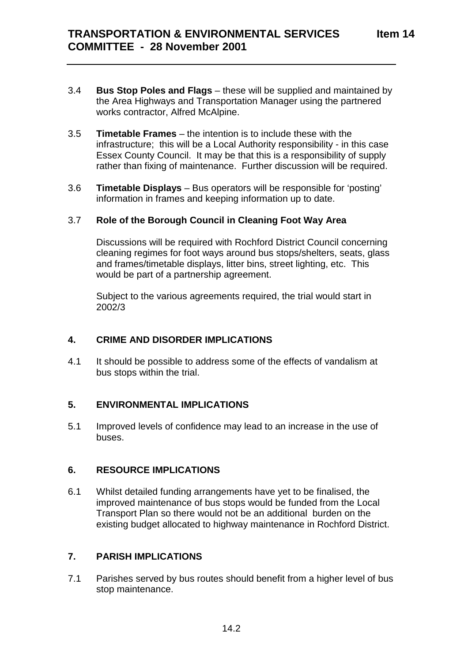- 3.4 **Bus Stop Poles and Flags** these will be supplied and maintained by the Area Highways and Transportation Manager using the partnered works contractor, Alfred McAlpine.
- 3.5 **Timetable Frames** the intention is to include these with the infrastructure; this will be a Local Authority responsibility - in this case Essex County Council. It may be that this is a responsibility of supply rather than fixing of maintenance. Further discussion will be required.
- 3.6 **Timetable Displays**  Bus operators will be responsible for 'posting' information in frames and keeping information up to date.

#### 3.7 **Role of the Borough Council in Cleaning Foot Way Area**

Discussions will be required with Rochford District Council concerning cleaning regimes for foot ways around bus stops/shelters, seats, glass and frames/timetable displays, litter bins, street lighting, etc. This would be part of a partnership agreement.

Subject to the various agreements required, the trial would start in 2002/3

#### **4. CRIME AND DISORDER IMPLICATIONS**

4.1 It should be possible to address some of the effects of vandalism at bus stops within the trial.

#### **5. ENVIRONMENTAL IMPLICATIONS**

5.1 Improved levels of confidence may lead to an increase in the use of buses.

#### **6. RESOURCE IMPLICATIONS**

6.1 Whilst detailed funding arrangements have yet to be finalised, the improved maintenance of bus stops would be funded from the Local Transport Plan so there would not be an additional burden on the existing budget allocated to highway maintenance in Rochford District.

### **7. PARISH IMPLICATIONS**

7.1 Parishes served by bus routes should benefit from a higher level of bus stop maintenance.